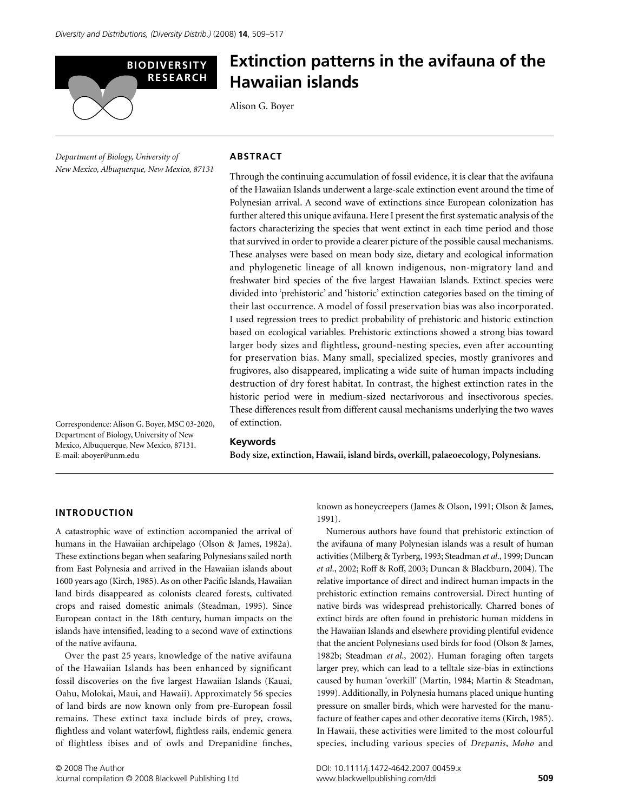

# **Extinction patterns in the avifauna of the Hawaiian islands**

Alison G. Boyer

*Department of Biology, University of New Mexico, Albuquerque, New Mexico, 87131*

Correspondence: Alison G. Boyer, MSC 03-2020, Department of Biology, University of New Mexico, Albuquerque, New Mexico, 87131.

#### **ABSTRACT**

Through the continuing accumulation of fossil evidence, it is clear that the avifauna of the Hawaiian Islands underwent a large-scale extinction event around the time of Polynesian arrival. A second wave of extinctions since European colonization has further altered this unique avifauna. Here I present the first systematic analysis of the factors characterizing the species that went extinct in each time period and those that survived in order to provide a clearer picture of the possible causal mechanisms. These analyses were based on mean body size, dietary and ecological information and phylogenetic lineage of all known indigenous, non-migratory land and freshwater bird species of the five largest Hawaiian Islands. Extinct species were divided into 'prehistoric' and 'historic' extinction categories based on the timing of their last occurrence. A model of fossil preservation bias was also incorporated. I used regression trees to predict probability of prehistoric and historic extinction based on ecological variables. Prehistoric extinctions showed a strong bias toward larger body sizes and flightless, ground-nesting species, even after accounting for preservation bias. Many small, specialized species, mostly granivores and frugivores, also disappeared, implicating a wide suite of human impacts including destruction of dry forest habitat. In contrast, the highest extinction rates in the historic period were in medium-sized nectarivorous and insectivorous species. These differences result from different causal mechanisms underlying the two waves of extinction.

**Keywords**

**Body size, extinction, Hawaii, island birds, overkill, palaeoecology, Polynesians.**

# **INTRODUCTION**

E-mail: aboyer@unm.edu

A catastrophic wave of extinction accompanied the arrival of humans in the Hawaiian archipelago (Olson & James, 1982a). These extinctions began when seafaring Polynesians sailed north from East Polynesia and arrived in the Hawaiian islands about 1600 years ago (Kirch, 1985). As on other Pacific Islands, Hawaiian land birds disappeared as colonists cleared forests, cultivated crops and raised domestic animals (Steadman, 1995). Since European contact in the 18th century, human impacts on the islands have intensified, leading to a second wave of extinctions of the native avifauna.

Over the past 25 years, knowledge of the native avifauna of the Hawaiian Islands has been enhanced by significant fossil discoveries on the five largest Hawaiian Islands (Kauai, Oahu, Molokai, Maui, and Hawaii). Approximately 56 species of land birds are now known only from pre-European fossil remains. These extinct taxa include birds of prey, crows, flightless and volant waterfowl, flightless rails, endemic genera of flightless ibises and of owls and Drepanidine finches, known as honeycreepers (James & Olson, 1991; Olson & James, 1991).

Numerous authors have found that prehistoric extinction of the avifauna of many Polynesian islands was a result of human activities (Milberg & Tyrberg, 1993; Steadman *et al*., 1999; Duncan *et al*., 2002; Roff & Roff, 2003; Duncan & Blackburn, 2004). The relative importance of direct and indirect human impacts in the prehistoric extinction remains controversial. Direct hunting of native birds was widespread prehistorically. Charred bones of extinct birds are often found in prehistoric human middens in the Hawaiian Islands and elsewhere providing plentiful evidence that the ancient Polynesians used birds for food (Olson & James, 1982b; Steadman *et al*., 2002). Human foraging often targets larger prey, which can lead to a telltale size-bias in extinctions caused by human 'overkill' (Martin, 1984; Martin & Steadman, 1999). Additionally, in Polynesia humans placed unique hunting pressure on smaller birds, which were harvested for the manufacture of feather capes and other decorative items (Kirch, 1985). In Hawaii, these activities were limited to the most colourful species, including various species of *Drepanis*, *Moho* and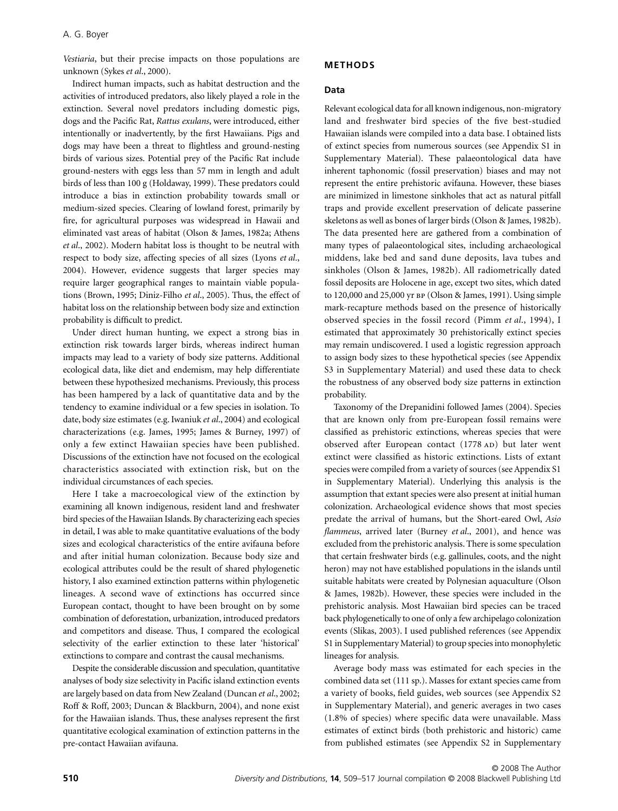*Vestiaria*, but their precise impacts on those populations are unknown (Sykes *et al*., 2000).

Indirect human impacts, such as habitat destruction and the activities of introduced predators, also likely played a role in the extinction. Several novel predators including domestic pigs, dogs and the Pacific Rat, *Rattus exulans*, were introduced, either intentionally or inadvertently, by the first Hawaiians. Pigs and dogs may have been a threat to flightless and ground-nesting birds of various sizes. Potential prey of the Pacific Rat include ground-nesters with eggs less than 57 mm in length and adult birds of less than 100 g (Holdaway, 1999). These predators could introduce a bias in extinction probability towards small or medium-sized species. Clearing of lowland forest, primarily by fire, for agricultural purposes was widespread in Hawaii and eliminated vast areas of habitat (Olson & James, 1982a; Athens *et al*., 2002). Modern habitat loss is thought to be neutral with respect to body size, affecting species of all sizes (Lyons *et al*., 2004). However, evidence suggests that larger species may require larger geographical ranges to maintain viable populations (Brown, 1995; Diniz-Filho *et al*., 2005). Thus, the effect of habitat loss on the relationship between body size and extinction probability is difficult to predict.

Under direct human hunting, we expect a strong bias in extinction risk towards larger birds, whereas indirect human impacts may lead to a variety of body size patterns. Additional ecological data, like diet and endemism, may help differentiate between these hypothesized mechanisms. Previously, this process has been hampered by a lack of quantitative data and by the tendency to examine individual or a few species in isolation. To date, body size estimates (e.g. Iwaniuk *et al*., 2004) and ecological characterizations (e.g. James, 1995; James & Burney, 1997) of only a few extinct Hawaiian species have been published. Discussions of the extinction have not focused on the ecological characteristics associated with extinction risk, but on the individual circumstances of each species.

Here I take a macroecological view of the extinction by examining all known indigenous, resident land and freshwater bird species of the Hawaiian Islands. By characterizing each species in detail, I was able to make quantitative evaluations of the body sizes and ecological characteristics of the entire avifauna before and after initial human colonization. Because body size and ecological attributes could be the result of shared phylogenetic history, I also examined extinction patterns within phylogenetic lineages. A second wave of extinctions has occurred since European contact, thought to have been brought on by some combination of deforestation, urbanization, introduced predators and competitors and disease. Thus, I compared the ecological selectivity of the earlier extinction to these later 'historical' extinctions to compare and contrast the causal mechanisms.

Despite the considerable discussion and speculation, quantitative analyses of body size selectivity in Pacific island extinction events are largely based on data from New Zealand (Duncan *et al*., 2002; Roff & Roff, 2003; Duncan & Blackburn, 2004), and none exist for the Hawaiian islands. Thus, these analyses represent the first quantitative ecological examination of extinction patterns in the pre-contact Hawaiian avifauna.

#### **METHODS**

### **Data**

Relevant ecological data for all known indigenous, non-migratory land and freshwater bird species of the five best-studied Hawaiian islands were compiled into a data base. I obtained lists of extinct species from numerous sources (see Appendix S1 in Supplementary Material). These palaeontological data have inherent taphonomic (fossil preservation) biases and may not represent the entire prehistoric avifauna. However, these biases are minimized in limestone sinkholes that act as natural pitfall traps and provide excellent preservation of delicate passerine skeletons as well as bones of larger birds (Olson & James, 1982b). The data presented here are gathered from a combination of many types of palaeontological sites, including archaeological middens, lake bed and sand dune deposits, lava tubes and sinkholes (Olson & James, 1982b). All radiometrically dated fossil deposits are Holocene in age, except two sites, which dated to 120,000 and 25,000 yr bp (Olson & James, 1991). Using simple mark-recapture methods based on the presence of historically observed species in the fossil record (Pimm *et al*., 1994), I estimated that approximately 30 prehistorically extinct species may remain undiscovered. I used a logistic regression approach to assign body sizes to these hypothetical species (see Appendix S3 in Supplementary Material) and used these data to check the robustness of any observed body size patterns in extinction probability.

Taxonomy of the Drepanidini followed James (2004). Species that are known only from pre-European fossil remains were classified as prehistoric extinctions, whereas species that were observed after European contact (1778 AD) but later went extinct were classified as historic extinctions. Lists of extant species were compiled from a variety of sources (see Appendix S1 in Supplementary Material). Underlying this analysis is the assumption that extant species were also present at initial human colonization. Archaeological evidence shows that most species predate the arrival of humans, but the Short-eared Owl, *Asio flammeus*, arrived later (Burney *et al*., 2001), and hence was excluded from the prehistoric analysis. There is some speculation that certain freshwater birds (e.g. gallinules, coots, and the night heron) may not have established populations in the islands until suitable habitats were created by Polynesian aquaculture (Olson & James, 1982b). However, these species were included in the prehistoric analysis. Most Hawaiian bird species can be traced back phylogenetically to one of only a few archipelago colonization events (Slikas, 2003). I used published references (see Appendix S1 in Supplementary Material) to group species into monophyletic lineages for analysis.

Average body mass was estimated for each species in the combined data set (111 sp.). Masses for extant species came from a variety of books, field guides, web sources (see Appendix S2 in Supplementary Material), and generic averages in two cases (1.8% of species) where specific data were unavailable. Mass estimates of extinct birds (both prehistoric and historic) came from published estimates (see Appendix S2 in Supplementary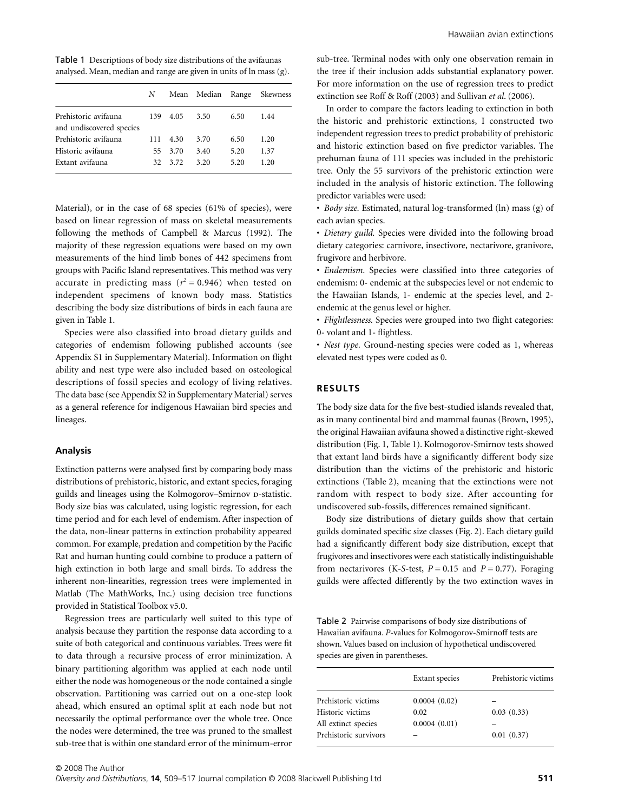Table 1 Descriptions of body size distributions of the avifaunas analysed. Mean, median and range are given in units of ln mass (g).

|                                                  | N   | Mean |      |      | Median Range Skewness |
|--------------------------------------------------|-----|------|------|------|-----------------------|
| Prehistoric avifauna<br>and undiscovered species | 139 | 4.05 | 3.50 | 6.50 | 1.44                  |
| Prehistoric avifauna                             | 111 | 4.30 | 3.70 | 6.50 | 1.20                  |
| Historic avifauna                                | 55. | 3.70 | 3.40 | 5.20 | 1.37                  |
| Extant avifauna                                  | 32  | 3.72 | 3.20 | 5.20 | 1.20                  |

Material), or in the case of 68 species (61% of species), were based on linear regression of mass on skeletal measurements following the methods of Campbell & Marcus (1992). The majority of these regression equations were based on my own measurements of the hind limb bones of 442 specimens from groups with Pacific Island representatives. This method was very accurate in predicting mass  $(r^2 = 0.946)$  when tested on independent specimens of known body mass. Statistics describing the body size distributions of birds in each fauna are given in Table 1.

Species were also classified into broad dietary guilds and categories of endemism following published accounts (see Appendix S1 in Supplementary Material). Information on flight ability and nest type were also included based on osteological descriptions of fossil species and ecology of living relatives. The data base (see Appendix S2 in Supplementary Material) serves as a general reference for indigenous Hawaiian bird species and lineages.

#### **Analysis**

Extinction patterns were analysed first by comparing body mass distributions of prehistoric, historic, and extant species, foraging guilds and lineages using the Kolmogorov–Smirnov p-statistic. Body size bias was calculated, using logistic regression, for each time period and for each level of endemism. After inspection of the data, non-linear patterns in extinction probability appeared common. For example, predation and competition by the Pacific Rat and human hunting could combine to produce a pattern of high extinction in both large and small birds. To address the inherent non-linearities, regression trees were implemented in Matlab (The MathWorks, Inc.) using decision tree functions provided in Statistical Toolbox v5.0.

Regression trees are particularly well suited to this type of analysis because they partition the response data according to a suite of both categorical and continuous variables. Trees were fit to data through a recursive process of error minimization. A binary partitioning algorithm was applied at each node until either the node was homogeneous or the node contained a single observation. Partitioning was carried out on a one-step look ahead, which ensured an optimal split at each node but not necessarily the optimal performance over the whole tree. Once the nodes were determined, the tree was pruned to the smallest sub-tree that is within one standard error of the minimum-error sub-tree. Terminal nodes with only one observation remain in the tree if their inclusion adds substantial explanatory power. For more information on the use of regression trees to predict extinction see Roff & Roff (2003) and Sullivan *et al*. (2006).

In order to compare the factors leading to extinction in both the historic and prehistoric extinctions, I constructed two independent regression trees to predict probability of prehistoric and historic extinction based on five predictor variables. The prehuman fauna of 111 species was included in the prehistoric tree. Only the 55 survivors of the prehistoric extinction were included in the analysis of historic extinction. The following predictor variables were used:

• *Body size.* Estimated, natural log-transformed (ln) mass (g) of each avian species.

• *Dietary guild.* Species were divided into the following broad dietary categories: carnivore, insectivore, nectarivore, granivore, frugivore and herbivore.

• *Endemism.* Species were classified into three categories of endemism: 0- endemic at the subspecies level or not endemic to the Hawaiian Islands, 1- endemic at the species level, and 2 endemic at the genus level or higher.

• *Flightlessness.* Species were grouped into two flight categories: 0*-* volant and 1- flightless.

• *Nest type.* Ground-nesting species were coded as 1, whereas elevated nest types were coded as 0.

### **RESULTS**

The body size data for the five best-studied islands revealed that, as in many continental bird and mammal faunas (Brown, 1995), the original Hawaiian avifauna showed a distinctive right-skewed distribution (Fig. 1, Table 1). Kolmogorov-Smirnov tests showed that extant land birds have a significantly different body size distribution than the victims of the prehistoric and historic extinctions (Table 2), meaning that the extinctions were not random with respect to body size. After accounting for undiscovered sub-fossils, differences remained significant.

Body size distributions of dietary guilds show that certain guilds dominated specific size classes (Fig. 2). Each dietary guild had a significantly different body size distribution, except that frugivores and insectivores were each statistically indistinguishable from nectarivores (K-S-test,  $P = 0.15$  and  $P = 0.77$ ). Foraging guilds were affected differently by the two extinction waves in

Table 2 Pairwise comparisons of body size distributions of Hawaiian avifauna. *P*-values for Kolmogorov-Smirnoff tests are shown. Values based on inclusion of hypothetical undiscovered species are given in parentheses.

|                       | Extant species | Prehistoric victims |  |
|-----------------------|----------------|---------------------|--|
| Prehistoric victims   | 0.0004(0.02)   |                     |  |
| Historic victims      | 0.02           | 0.03(0.33)          |  |
| All extinct species   | 0.0004(0.01)   |                     |  |
| Prehistoric survivors |                | 0.01(0.37)          |  |
|                       |                |                     |  |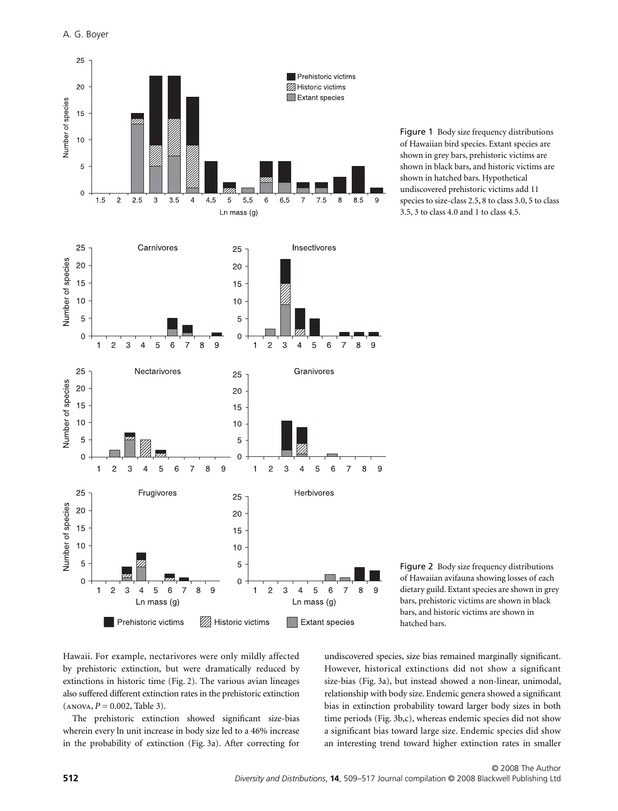

Figure 1 Body size frequency distributions of Hawaiian bird species. Extant species are shown in grey bars, prehistoric victims are shown in black bars, and historic victims are shown in hatched bars. Hypothetical undiscovered prehistoric victims add 11 species to size-class 2.5, 8 to class 3.0, 5 to class 3.5, 3 to class 4.0 and 1 to class 4.5.

of Hawaiian avifauna showing losses of each dietary guild. Extant species are shown in grey bars, prehistoric victims are shown in black bars, and historic victims are shown in hatched bars.

Figure 2 Body size frequency distributions

Hawaii. For example, nectarivores were only mildly affected by prehistoric extinction, but were dramatically reduced by extinctions in historic time (Fig. 2). The various avian lineages also suffered different extinction rates in the prehistoric extinction  $(ANOVA, P = 0.002, Table 3).$ 

The prehistoric extinction showed significant size-bias wherein every ln unit increase in body size led to a 46% increase in the probability of extinction (Fig. 3a). After correcting for

undiscovered species, size bias remained marginally significant. However, historical extinctions did not show a significant size-bias (Fig. 3a), but instead showed a non-linear, unimodal, relationship with body size. Endemic genera showed a significant bias in extinction probability toward larger body sizes in both time periods (Fig. 3b,c), whereas endemic species did not show a significant bias toward large size. Endemic species did show an interesting trend toward higher extinction rates in smaller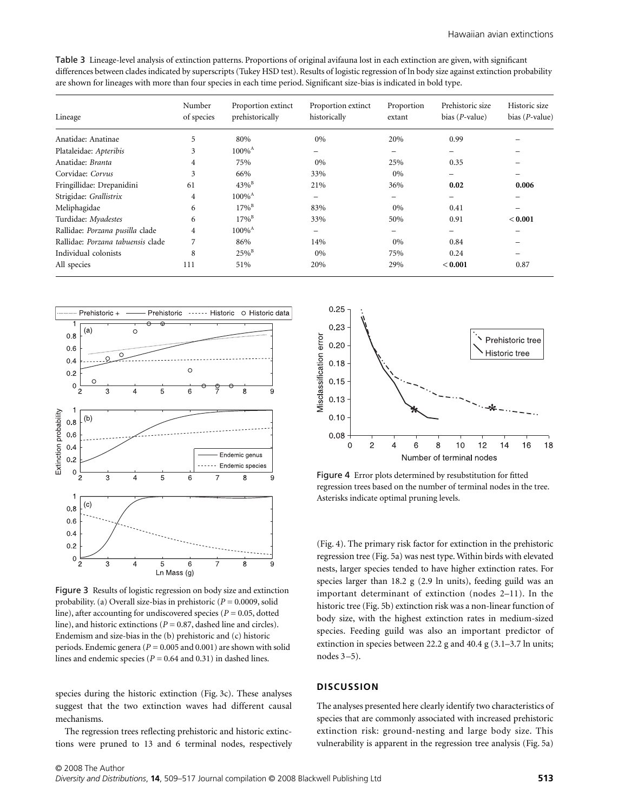Table 3 Lineage-level analysis of extinction patterns. Proportions of original avifauna lost in each extinction are given, with significant differences between clades indicated by superscripts (Tukey HSD test). Results of logistic regression of ln body size against extinction probability are shown for lineages with more than four species in each time period. Significant size-bias is indicated in bold type.

| Lineage                           | Number<br>of species | Proportion extinct<br>prehistorically | Proportion extinct<br>historically | Proportion<br>extant | Prehistoric size<br>bias $(P$ -value) | Historic size<br>bias $(P$ -value) |
|-----------------------------------|----------------------|---------------------------------------|------------------------------------|----------------------|---------------------------------------|------------------------------------|
| Anatidae: Anatinae                | 5                    | 80%                                   | 0%                                 | 20%                  | 0.99                                  |                                    |
| Plataleidae: Apteribis            | 3                    | $100\%$ <sup>A</sup>                  |                                    |                      | $\overline{\phantom{0}}$              |                                    |
| Anatidae: Branta                  | 4                    | 75%                                   | 0%                                 | 25%                  | 0.35                                  |                                    |
| Corvidae: Corvus                  | 3                    | 66%                                   | 33%                                | $0\%$                | $\overline{\phantom{0}}$              | -                                  |
| Fringillidae: Drepanidini         | 61                   | $43\%$ <sup>B</sup>                   | 21%                                | 36%                  | 0.02                                  | 0.006                              |
| Strigidae: Grallistrix            | 4                    | $100\%^{\rm A}$                       | -                                  |                      | -                                     | -                                  |
| Meliphagidae                      | 6                    | $17\%$ <sup>B</sup>                   | 83%                                | $0\%$                | 0.41                                  | -                                  |
| Turdidae: Myadestes               | 6                    | $17\%$ <sup>B</sup>                   | 33%                                | 50%                  | 0.91                                  | < 0.001                            |
| Rallidae: Porzana pusilla clade   | $\overline{4}$       | $100\%^{\rm A}$                       | —                                  |                      | $\qquad \qquad -$                     |                                    |
| Rallidae: Porzana tabuensis clade | 7                    | 86%                                   | 14%                                | $0\%$                | 0.84                                  | -                                  |
| Individual colonists              | 8                    | $25\%$ <sup>B</sup>                   | 0%                                 | 75%                  | 0.24                                  |                                    |
| All species                       | 111                  | 51%                                   | 20%                                | 29%                  | < 0.001                               | 0.87                               |



Figure 3 Results of logistic regression on body size and extinction probability. (a) Overall size-bias in prehistoric (*P =* 0.0009, solid line), after accounting for undiscovered species (*P =* 0.05, dotted line), and historic extinctions (*P =* 0.87, dashed line and circles). Endemism and size-bias in the (b) prehistoric and (c) historic periods. Endemic genera (*P =* 0.005 and 0.001) are shown with solid lines and endemic species (*P =* 0.64 and 0.31) in dashed lines.

species during the historic extinction (Fig. 3c). These analyses suggest that the two extinction waves had different causal mechanisms.

The regression trees reflecting prehistoric and historic extinctions were pruned to 13 and 6 terminal nodes, respectively



Figure 4 Error plots determined by resubstitution for fitted regression trees based on the number of terminal nodes in the tree. Asterisks indicate optimal pruning levels.

(Fig. 4). The primary risk factor for extinction in the prehistoric regression tree (Fig. 5a) was nest type. Within birds with elevated nests, larger species tended to have higher extinction rates. For species larger than 18.2 g (2.9 ln units), feeding guild was an important determinant of extinction (nodes 2–11). In the historic tree (Fig. 5b) extinction risk was a non-linear function of body size, with the highest extinction rates in medium-sized species. Feeding guild was also an important predictor of extinction in species between 22.2 g and 40.4 g (3.1–3.7 ln units; nodes 3–5).

#### **DISCUSSION**

The analyses presented here clearly identify two characteristics of species that are commonly associated with increased prehistoric extinction risk: ground-nesting and large body size. This vulnerability is apparent in the regression tree analysis (Fig. 5a)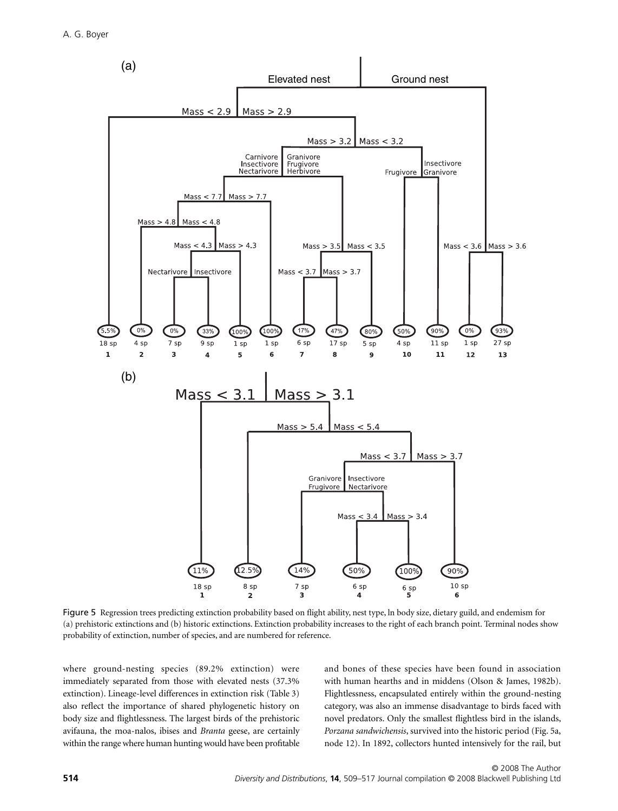

Figure 5 Regression trees predicting extinction probability based on flight ability, nest type, ln body size, dietary guild, and endemism for (a) prehistoric extinctions and (b) historic extinctions. Extinction probability increases to the right of each branch point. Terminal nodes show probability of extinction, number of species, and are numbered for reference.

where ground-nesting species (89.2% extinction) were immediately separated from those with elevated nests (37.3% extinction). Lineage-level differences in extinction risk (Table 3) also reflect the importance of shared phylogenetic history on body size and flightlessness. The largest birds of the prehistoric avifauna, the moa-nalos, ibises and *Branta* geese, are certainly within the range where human hunting would have been profitable

and bones of these species have been found in association with human hearths and in middens (Olson & James, 1982b). Flightlessness, encapsulated entirely within the ground-nesting category, was also an immense disadvantage to birds faced with novel predators. Only the smallest flightless bird in the islands, *Porzana sandwichensis*, survived into the historic period (Fig. 5a, node 12). In 1892, collectors hunted intensively for the rail, but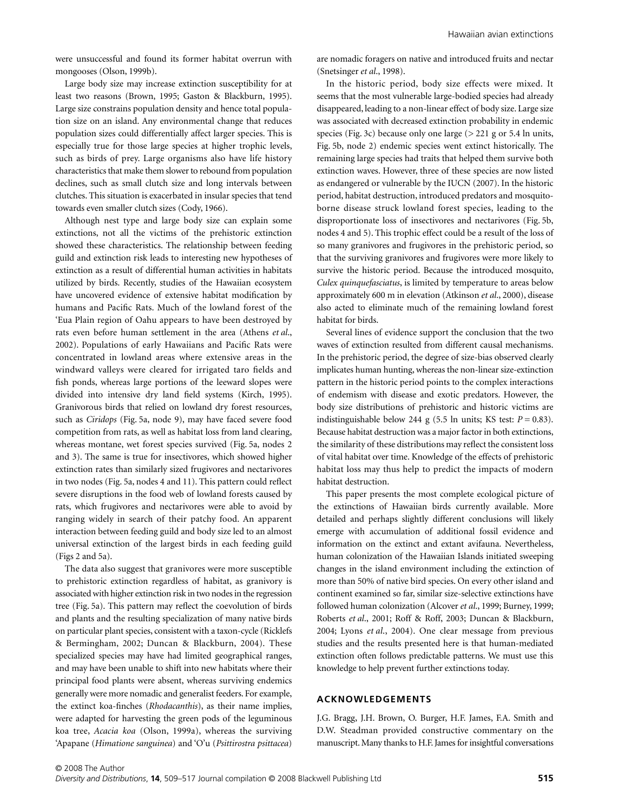were unsuccessful and found its former habitat overrun with mongooses (Olson, 1999b).

Large body size may increase extinction susceptibility for at least two reasons (Brown, 1995; Gaston & Blackburn, 1995). Large size constrains population density and hence total population size on an island. Any environmental change that reduces population sizes could differentially affect larger species. This is especially true for those large species at higher trophic levels, such as birds of prey. Large organisms also have life history characteristics that make them slower to rebound from population declines, such as small clutch size and long intervals between clutches. This situation is exacerbated in insular species that tend towards even smaller clutch sizes (Cody, 1966).

Although nest type and large body size can explain some extinctions, not all the victims of the prehistoric extinction showed these characteristics. The relationship between feeding guild and extinction risk leads to interesting new hypotheses of extinction as a result of differential human activities in habitats utilized by birds. Recently, studies of the Hawaiian ecosystem have uncovered evidence of extensive habitat modification by humans and Pacific Rats. Much of the lowland forest of the 'Eua Plain region of Oahu appears to have been destroyed by rats even before human settlement in the area (Athens *et al*., 2002). Populations of early Hawaiians and Pacific Rats were concentrated in lowland areas where extensive areas in the windward valleys were cleared for irrigated taro fields and fish ponds, whereas large portions of the leeward slopes were divided into intensive dry land field systems (Kirch, 1995). Granivorous birds that relied on lowland dry forest resources, such as *Ciridops* (Fig. 5a, node 9), may have faced severe food competition from rats, as well as habitat loss from land clearing, whereas montane, wet forest species survived (Fig. 5a, nodes 2 and 3). The same is true for insectivores, which showed higher extinction rates than similarly sized frugivores and nectarivores in two nodes (Fig. 5a, nodes 4 and 11). This pattern could reflect severe disruptions in the food web of lowland forests caused by rats, which frugivores and nectarivores were able to avoid by ranging widely in search of their patchy food. An apparent interaction between feeding guild and body size led to an almost universal extinction of the largest birds in each feeding guild (Figs 2 and 5a).

The data also suggest that granivores were more susceptible to prehistoric extinction regardless of habitat, as granivory is associated with higher extinction risk in two nodes in the regression tree (Fig. 5a). This pattern may reflect the coevolution of birds and plants and the resulting specialization of many native birds on particular plant species, consistent with a taxon-cycle (Ricklefs & Bermingham, 2002; Duncan & Blackburn, 2004). These specialized species may have had limited geographical ranges, and may have been unable to shift into new habitats where their principal food plants were absent, whereas surviving endemics generally were more nomadic and generalist feeders. For example, the extinct koa-finches (*Rhodacanthis*), as their name implies, were adapted for harvesting the green pods of the leguminous koa tree, *Acacia koa* (Olson, 1999a), whereas the surviving 'Apapane (*Himatione sanguinea*) and 'O'u (*Psittirostra psittacea*)

are nomadic foragers on native and introduced fruits and nectar (Snetsinger *et al*., 1998).

In the historic period, body size effects were mixed. It seems that the most vulnerable large-bodied species had already disappeared, leading to a non-linear effect of body size. Large size was associated with decreased extinction probability in endemic species (Fig. 3c) because only one large  $(> 221$  g or 5.4 ln units, Fig. 5b, node 2) endemic species went extinct historically. The remaining large species had traits that helped them survive both extinction waves. However, three of these species are now listed as endangered or vulnerable by the IUCN (2007). In the historic period, habitat destruction, introduced predators and mosquitoborne disease struck lowland forest species, leading to the disproportionate loss of insectivores and nectarivores (Fig. 5b, nodes 4 and 5). This trophic effect could be a result of the loss of so many granivores and frugivores in the prehistoric period, so that the surviving granivores and frugivores were more likely to survive the historic period. Because the introduced mosquito, *Culex quinquefasciatus*, is limited by temperature to areas below approximately 600 m in elevation (Atkinson *et al*., 2000), disease also acted to eliminate much of the remaining lowland forest habitat for birds.

Several lines of evidence support the conclusion that the two waves of extinction resulted from different causal mechanisms. In the prehistoric period, the degree of size-bias observed clearly implicates human hunting, whereas the non-linear size-extinction pattern in the historic period points to the complex interactions of endemism with disease and exotic predators. However, the body size distributions of prehistoric and historic victims are indistinguishable below 244 g (5.5 ln units; KS test:  $P = 0.83$ ). Because habitat destruction was a major factor in both extinctions, the similarity of these distributions may reflect the consistent loss of vital habitat over time. Knowledge of the effects of prehistoric habitat loss may thus help to predict the impacts of modern habitat destruction.

This paper presents the most complete ecological picture of the extinctions of Hawaiian birds currently available. More detailed and perhaps slightly different conclusions will likely emerge with accumulation of additional fossil evidence and information on the extinct and extant avifauna. Nevertheless, human colonization of the Hawaiian Islands initiated sweeping changes in the island environment including the extinction of more than 50% of native bird species. On every other island and continent examined so far, similar size-selective extinctions have followed human colonization (Alcover *et al*., 1999; Burney, 1999; Roberts *et al*., 2001; Roff & Roff, 2003; Duncan & Blackburn, 2004; Lyons *et al*., 2004). One clear message from previous studies and the results presented here is that human-mediated extinction often follows predictable patterns. We must use this knowledge to help prevent further extinctions today.

# **ACKNOWLEDGEMENTS**

J.G. Bragg, J.H. Brown, O. Burger, H.F. James, F.A. Smith and D.W. Steadman provided constructive commentary on the manuscript. Many thanks to H.F. James for insightful conversations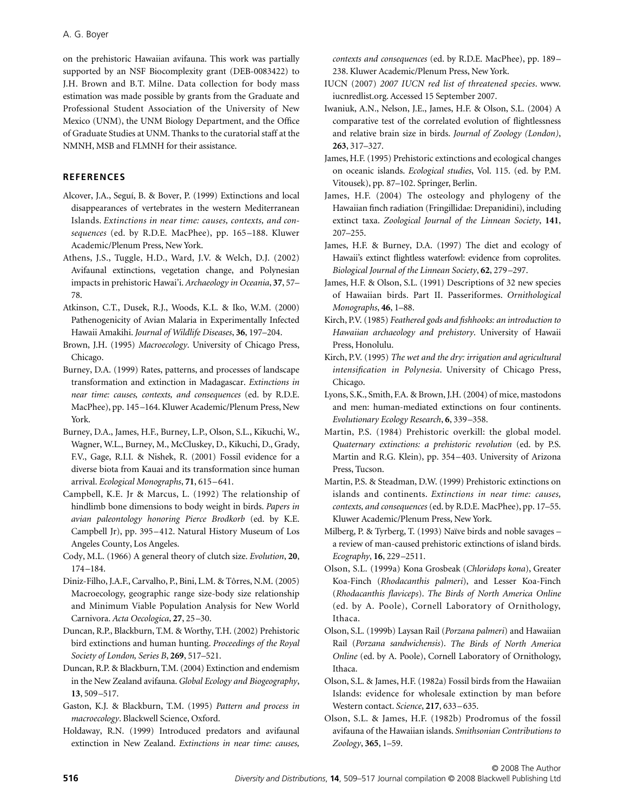on the prehistoric Hawaiian avifauna. This work was partially supported by an NSF Biocomplexity grant (DEB-0083422) to J.H. Brown and B.T. Milne. Data collection for body mass estimation was made possible by grants from the Graduate and Professional Student Association of the University of New Mexico (UNM), the UNM Biology Department, and the Office of Graduate Studies at UNM. Thanks to the curatorial staff at the NMNH, MSB and FLMNH for their assistance.

# **REFERENCES**

- Alcover, J.A., Seguí, B. & Bover, P. (1999) Extinctions and local disappearances of vertebrates in the western Mediterranean Islands. *Extinctions in near time: causes, contexts, and consequences* (ed. by R.D.E. MacPhee), pp. 165–188. Kluwer Academic/Plenum Press, New York.
- Athens, J.S., Tuggle, H.D., Ward, J.V. & Welch, D.J. (2002) Avifaunal extinctions, vegetation change, and Polynesian impacts in prehistoric Hawai'i. *Archaeology in Oceania*, **37**, 57– 78.
- Atkinson, C.T., Dusek, R.J., Woods, K.L. & Iko, W.M. (2000) Pathenogenicity of Avian Malaria in Experimentally Infected Hawaii Amakihi. *Journal of Wildlife Diseases*, **36**, 197–204.
- Brown, J.H. (1995) *Macroecology*. University of Chicago Press, Chicago.
- Burney, D.A. (1999) Rates, patterns, and processes of landscape transformation and extinction in Madagascar. *Extinctions in near time: causes, contexts, and consequences* (ed. by R.D.E. MacPhee), pp. 145–164. Kluwer Academic/Plenum Press, New York.
- Burney, D.A., James, H.F., Burney, L.P., Olson, S.L., Kikuchi, W., Wagner, W.L., Burney, M., McCluskey, D., Kikuchi, D., Grady, F.V., Gage, R.I.I. & Nishek, R. (2001) Fossil evidence for a diverse biota from Kauai and its transformation since human arrival. *Ecological Monographs*, **71**, 615–641.
- Campbell, K.E. Jr & Marcus, L. (1992) The relationship of hindlimb bone dimensions to body weight in birds. *Papers in avian paleontology honoring Pierce Brodkorb* (ed. by K.E. Campbell Jr), pp. 395–412. Natural History Museum of Los Angeles County, Los Angeles.
- Cody, M.L. (1966) A general theory of clutch size. *Evolution*, **20**, 174–184.
- Diniz-Filho, J.A.F., Carvalho, P., Bini, L.M. & Tôrres, N.M. (2005) Macroecology, geographic range size-body size relationship and Minimum Viable Population Analysis for New World Carnivora. *Acta Oecologica*, **27**, 25–30.
- Duncan, R.P., Blackburn, T.M. & Worthy, T.H. (2002) Prehistoric bird extinctions and human hunting. *Proceedings of the Royal Society of London, Series B*, **269**, 517–521.
- Duncan, R.P. & Blackburn, T.M. (2004) Extinction and endemism in the New Zealand avifauna. *Global Ecology and Biogeography*, **13**, 509–517.
- Gaston, K.J. & Blackburn, T.M. (1995) *Pattern and process in macroecology*. Blackwell Science, Oxford.
- Holdaway, R.N. (1999) Introduced predators and avifaunal extinction in New Zealand. *Extinctions in near time: causes,*

*contexts and consequences* (ed. by R.D.E. MacPhee), pp. 189– 238. Kluwer Academic/Plenum Press, New York.

- IUCN (2007) *2007 IUCN red list of threatened species*. www. iucnredlist.org. Accessed 15 September 2007.
- Iwaniuk, A.N., Nelson, J.E., James, H.F. & Olson, S.L. (2004) A comparative test of the correlated evolution of flightlessness and relative brain size in birds. *Journal of Zoology (London)*, **263**, 317–327.
- James, H.F. (1995) Prehistoric extinctions and ecological changes on oceanic islands. *Ecological studies*, Vol. 115. (ed. by P.M. Vitousek), pp. 87–102. Springer, Berlin.
- James, H.F. (2004) The osteology and phylogeny of the Hawaiian finch radiation (Fringillidae: Drepanidini), including extinct taxa. *Zoological Journal of the Linnean Society*, **141**, 207–255.
- James, H.F. & Burney, D.A. (1997) The diet and ecology of Hawaii's extinct flightless waterfowl: evidence from coprolites. *Biological Journal of the Linnean Society*, **62**, 279–297.
- James, H.F. & Olson, S.L. (1991) Descriptions of 32 new species of Hawaiian birds. Part II. Passeriformes. *Ornithological Monographs*, **46**, 1–88.
- Kirch, P.V. (1985) *Feathered gods and fishhooks: an introduction to Hawaiian archaeology and prehistory*. University of Hawaii Press, Honolulu.
- Kirch, P.V. (1995) *The wet and the dry: irrigation and agricultural intensification in Polynesia*. University of Chicago Press, Chicago.
- Lyons, S.K., Smith, F.A. & Brown, J.H. (2004) of mice, mastodons and men: human-mediated extinctions on four continents. *Evolutionary Ecology Research*, **6**, 339–358.
- Martin, P.S. (1984) Prehistoric overkill: the global model. *Quaternary extinctions: a prehistoric revolution* (ed. by P.S. Martin and R.G. Klein), pp. 354–403. University of Arizona Press, Tucson.
- Martin, P.S. & Steadman, D.W. (1999) Prehistoric extinctions on islands and continents. *Extinctions in near time: causes, contexts, and consequences* (ed. by R.D.E. MacPhee), pp. 17–55. Kluwer Academic/Plenum Press, New York.
- Milberg, P. & Tyrberg, T. (1993) Naïve birds and noble savages a review of man-caused prehistoric extinctions of island birds. *Ecography*, **16**, 229–2511.
- Olson, S.L. (1999a) Kona Grosbeak (*Chloridops kona*), Greater Koa-Finch (*Rhodacanthis palmeri*), and Lesser Koa-Finch (*Rhodacanthis flaviceps*). *The Birds of North America Online* (ed. by A. Poole), Cornell Laboratory of Ornithology, Ithaca.
- Olson, S.L. (1999b) Laysan Rail (*Porzana palmeri*) and Hawaiian Rail (*Porzana sandwichensis*). *The Birds of North America Online* (ed. by A. Poole), Cornell Laboratory of Ornithology, Ithaca.
- Olson, S.L. & James, H.F. (1982a) Fossil birds from the Hawaiian Islands: evidence for wholesale extinction by man before Western contact. *Science*, **217**, 633–635.
- Olson, S.L. & James, H.F. (1982b) Prodromus of the fossil avifauna of the Hawaiian islands. *Smithsonian Contributions to Zoology*, **365**, 1–59.